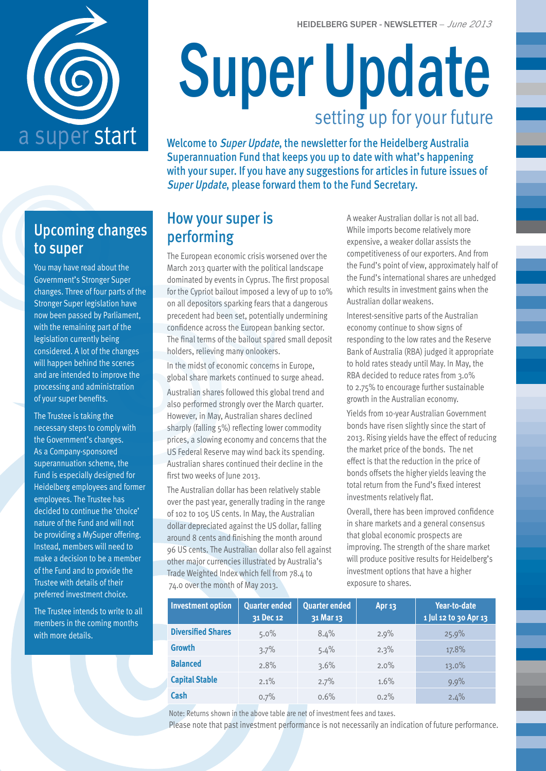

# Super Update setting up for your future

a super start Welcome to Super Update, the newsletter for the Heidelberg Australia Superannuation Fund that keeps you up to date with what's happening with your super. If you have any suggestions for articles in future issues of Super Update, please forward them to the Fund Secretary.

## Upcoming changes to super

You may have read about the Government's Stronger Super changes. Three of four parts of the Stronger Super legislation have now been passed by Parliament, with the remaining part of the legislation currently being considered. A lot of the changes will happen behind the scenes and are intended to improve the processing and administration of your super benefits.

The Trustee is taking the necessary steps to comply with the Government's changes. As a Company-sponsored superannuation scheme, the Fund is especially designed for Heidelberg employees and former employees. The Trustee has decided to continue the 'choice' nature of the Fund and will not be providing a MySuper offering. Instead, members will need to make a decision to be a member of the Fund and to provide the Trustee with details of their preferred investment choice.

The Trustee intends to write to all members in the coming months with more details.

## How your super is performing

The European economic crisis worsened over the March 2013 quarter with the political landscape dominated by events in Cyprus. The first proposal for the Cypriot bailout imposed a levy of up to 10% on all depositors sparking fears that a dangerous precedent had been set, potentially undermining confidence across the European banking sector. The final terms of the bailout spared small deposit holders, relieving many onlookers.

In the midst of economic concerns in Europe, global share markets continued to surge ahead.

Australian shares followed this global trend and also performed strongly over the March quarter. However, in May, Australian shares declined sharply (falling 5%) reflecting lower commodity prices, a slowing economy and concerns that the US Federal Reserve may wind back its spending. Australian shares continued their decline in the first two weeks of lune 2013.

The Australian dollar has been relatively stable over the past year, generally trading in the range of 102 to 105 US cents. In May, the Australian dollar depreciated against the US dollar, falling around 8 cents and finishing the month around 96 US cents. The Australian dollar also fell against other major currencies illustrated by Australia's Trade Weighted Index which fell from 78.4 to 74.0 over the month of May 2013.

A weaker Australian dollar is not all bad. While imports become relatively more expensive, a weaker dollar assists the competitiveness of our exporters. And from the Fund's point of view, approximately half of the Fund's international shares are unhedged which results in investment gains when the Australian dollar weakens.

Interest-sensitive parts of the Australian economy continue to show signs of responding to the low rates and the Reserve Bank of Australia (RBA) judged it appropriate to hold rates steady until May. In May, the RBA decided to reduce rates from 3.0% to 2.75% to encourage further sustainable growth in the Australian economy.

Yields from 10-year Australian Government bonds have risen slightly since the start of 2013. Rising yields have the effect of reducing the market price of the bonds. The net effect is that the reduction in the price of bonds offsets the higher yields leaving the total return from the Fund's fixed interest investments relatively flat.

Overall, there has been improved confidence in share markets and a general consensus that global economic prospects are improving. The strength of the share market will produce positive results for Heidelberg's investment options that have a higher exposure to shares.

| <b>Investment option</b>  | Quarter ended<br>31 Dec 12 | <b>Quarter ended</b><br>31 Mar 13 | Apr 13 | Year-to-date<br>1 Jul 12 to 30 Apr 13 |
|---------------------------|----------------------------|-----------------------------------|--------|---------------------------------------|
| <b>Diversified Shares</b> | $5.0\%$                    | 8.4%                              | 2.9%   | 25.9%                                 |
| <b>Growth</b>             | 3.7%                       | 5.4%                              | 2.3%   | 17.8%                                 |
| <b>Balanced</b>           | 2.8%                       | 3.6%                              | 2.0%   | 13.0%                                 |
| <b>Capital Stable</b>     | $2.1\%$                    | 2.7%                              | 1.6%   | 9.9%                                  |
| Cash                      | 0.7%                       | 0.6%                              | 0.2%   | 2.4%                                  |

Note: Returns shown in the above table are net of investment fees and taxes.

Please note that past investment performance is not necessarily an indication of future performance.